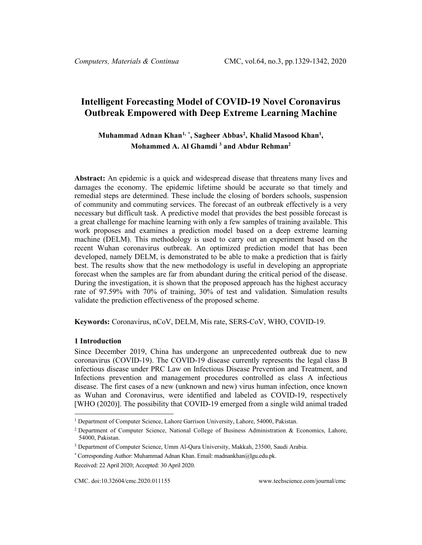# **Intelligent Forecasting Model of COVID-19 Novel Coronavirus Outbreak Empowered with Deep Extreme Learning Machine**

# **Muhammad Adnan Khan[1](#page-0-0), \* , Sagheer Abbas[2](#page-0-1) , Khalid Masood Khan1 , Mohammed A. Al Ghamdi 3 and Abdur Rehman2**

**Abstract:** An epidemic is a quick and widespread disease that threatens many lives and damages the economy. The epidemic lifetime should be accurate so that timely and remedial steps are determined. These include the closing of borders schools, suspension of community and commuting services. The forecast of an outbreak effectively is a very necessary but difficult task. A predictive model that provides the best possible forecast is a great challenge for machine learning with only a few samples of training available. This work proposes and examines a prediction model based on a deep extreme learning machine (DELM). This methodology is used to carry out an experiment based on the recent Wuhan coronavirus outbreak. An optimized prediction model that has been developed, namely DELM, is demonstrated to be able to make a prediction that is fairly best. The results show that the new methodology is useful in developing an appropriate forecast when the samples are far from abundant during the critical period of the disease. During the investigation, it is shown that the proposed approach has the highest accuracy rate of 97.59% with 70% of training, 30% of test and validation. Simulation results validate the prediction effectiveness of the proposed scheme.

**Keywords:** Coronavirus, nCoV, DELM, Mis rate, SERS-CoV, WHO, COVID-19.

#### **1 Introduction**

Since December 2019, China has undergone an unprecedented outbreak due to new coronavirus (COVID-19). The COVID-19 disease currently represents the legal class B infectious disease under PRC Law on Infectious Disease Prevention and Treatment, and Infections prevention and management procedures controlled as class A infectious disease. The first cases of a new (unknown and new) virus human infection, once known as Wuhan and Coronavirus, were identified and labeled as COVID-19, respectively [WHO (2020)]. The possibility that COVID-19 emerged from a single wild animal traded

<span id="page-0-0"></span><sup>1</sup> Department of Computer Science, Lahore Garrison University, Lahore, 54000, Pakistan.

<span id="page-0-1"></span><sup>2</sup> Department of Computer Science, National College of Business Administration & Economics, Lahore, 54000, Pakistan.

<sup>3</sup> Department of Computer Science, Umm Al-Qura University, Makkah, 23500, Saudi Arabia.

<sup>\*</sup> Corresponding Author: Muhammad Adnan Khan. Email: madnankhan@lgu.edu.pk.

Received: 22 April 2020; Accepted: 30 April 2020.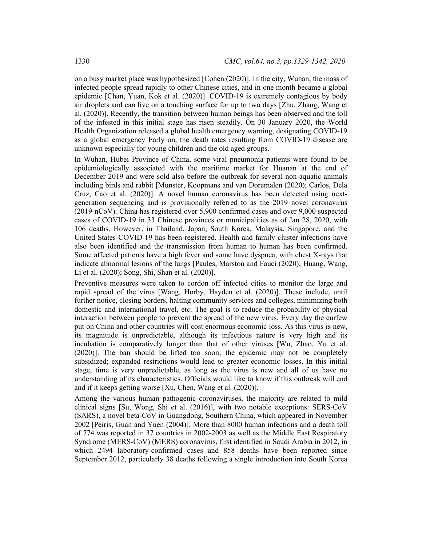on a busy market place was hypothesized [Cohen (2020)]. In the city, Wuhan, the mass of infected people spread rapidly to other Chinese cities, and in one month became a global epidemic [Chan, Yuan, Kok et al. (2020)]. COVID-19 is extremely contagious by body air droplets and can live on a touching surface for up to two days [Zhu, Zhang, Wang et al. (2020)]. Recently, the transition between human beings has been observed and the toll of the infested in this initial stage has risen steadily. On 30 January 2020, the World Health Organization released a global health emergency warning, designating COVID-19 as a global emergency Early on, the death rates resulting from COVID-19 disease are unknown especially for young children and the old aged groups.

In Wuhan, Hubei Province of China, some viral pneumonia patients were found to be epidemiologically associated with the maritime market for Huanan at the end of December 2019 and were sold also before the outbreak for several non-aquatic animals including birds and rabbit [Munster, Koopmans and van Doremalen (2020); Carlos, Dela Cruz, Cao et al. (2020)]. A novel human coronavirus has been detected using nextgeneration sequencing and is provisionally referred to as the 2019 novel coronavirus (2019-nCoV). China has registered over 5,900 confirmed cases and over 9,000 suspected cases of COVID-19 in 33 Chinese provinces or municipalities as of Jan 28, 2020, with 106 deaths. However, in Thailand, Japan, South Korea, Malaysia, Singapore, and the United States COVID-19 has been registered. Health and family cluster infections have also been identified and the transmission from human to human has been confirmed. Some affected patients have a high fever and some have dyspnea, with chest X-rays that indicate abnormal lesions of the lungs [Paules, Marston and Fauci (2020); Huang, Wang, Li et al. (2020); Song, Shi, Shan et al. (2020)].

Preventive measures were taken to cordon off infected cities to monitor the large and rapid spread of the virus [Wang, Horby, Hayden et al. (2020)]. These include, until further notice, closing borders, halting community services and colleges, minimizing both domestic and international travel, etc. The goal is to reduce the probability of physical interaction between people to prevent the spread of the new virus. Every day the curfew put on China and other countries will cost enormous economic loss. As this virus is new, its magnitude is unpredictable, although its infectious nature is very high and its incubation is comparatively longer than that of other viruses [Wu, Zhao, Yu et al. (2020)]. The ban should be lifted too soon; the epidemic may not be completely subsidized; expanded restrictions would lead to greater economic losses. In this initial stage, time is very unpredictable, as long as the virus is new and all of us have no understanding of its characteristics. Officials would like to know if this outbreak will end and if it keeps getting worse [Xu, Chen, Wang et al. (2020)].

Among the various human pathogenic coronaviruses, the majority are related to mild clinical signs [Su, Wong, Shi et al. (2016)], with two notable exceptions: SERS-CoV (SARS), a novel beta-CoV in Guangdong, Southern China, which appeared in November 2002 [Peiris, Guan and Yuen (2004)], More than 8000 human infections and a death toll of 774 was reported in 37 countries in 2002-2003 as well as the Middle East Respiratory Syndrome (MERS-CoV) (MERS) coronavirus, first identified in Saudi Arabia in 2012, in which 2494 laboratory-confirmed cases and 858 deaths have been reported since September 2012, particularly 38 deaths following a single introduction into South Korea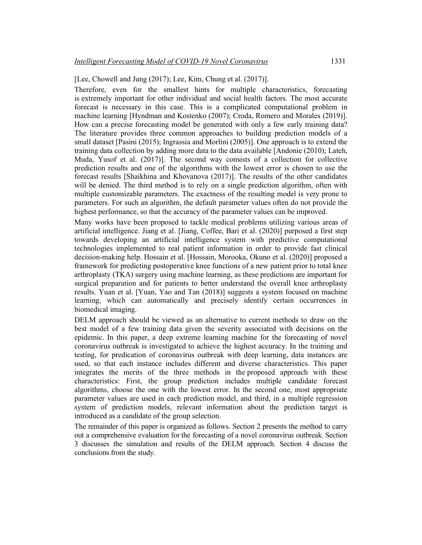[Lee, Chowell and Jung (2017); Lee, Kim, Chung et al. (2017)].

Therefore, even for the smallest hints for multiple characteristics, forecasting is extremely important for other individual and social health factors. The most accurate forecast is necessary in this case. This is a complicated computational problem in machine learning [Hyndman and Kostenko (2007); Croda, Romero and Morales (2019)]. How can a precise forecasting model be generated with only a few early training data? The literature provides three common approaches to building prediction models of a small dataset [Pasini (2015); Ingrassia and Morlini (2005)]. One approach is to extend the training data collection by adding more data to the data available [Andonie (2010); Lateh, Muda, Yusof et al. (2017)]. The second way consists of a collection for collective prediction results and one of the algorithms with the lowest error is chosen to use the forecast results [Shaikhina and Khovanova (2017)]. The results of the other candidates will be denied. The third method is to rely on a single prediction algorithm, often with multiple customizable parameters. The exactness of the resulting model is very prone to parameters. For such an algorithm, the default parameter values often do not provide the highest performance, so that the accuracy of the parameter values can be improved.

Many works have been proposed to tackle medical problems utilizing various areas of artificial intelligence. Jiang et al. [Jiang, Coffee, Bari et al. (2020)] purposed a first step towards developing an artificial intelligence system with predictive computational technologies implemented to real patient information in order to provide fast clinical decision-making help. Hossain et al. [Hossain, Morooka, Okuno et al. (2020)] proposed a framework for predicting postoperative knee functions of a new patient prior to total knee arthroplasty (TKA) surgery using machine learning, as these predictions are important for surgical preparation and for patients to better understand the overall knee arthroplasty results. Yuan et al. [Yuan, Yao and Tan (2018)] suggests a system focused on machine learning, which can automatically and precisely identify certain occurrences in biomedical imaging.

DELM approach should be viewed as an alternative to current methods to draw on the best model of a few training data given the severity associated with decisions on the epidemic. In this paper, a deep extreme learning machine for the forecasting of novel coronavirus outbreak is investigated to achieve the highest accuracy. In the training and testing, for predication of coronavirus outbreak with deep learning, data instances are used, so that each instance includes different and diverse characteristics. This paper integrates the merits of the three methods in the proposed approach with these characteristics: First, the group prediction includes multiple candidate forecast algorithms, choose the one with the lowest error. In the second one, most appropriate parameter values are used in each prediction model, and third, in a multiple regression system of prediction models, relevant information about the prediction target is introduced as a candidate of the group selection.

The remainder of this paper is organized as follows. Section 2 presents the method to carry out a comprehensive evaluation for the forecasting of a novel coronavirus outbreak. Section 3 discusses the simulation and results of the DELM approach. Section 4 discuss the conclusions from the study.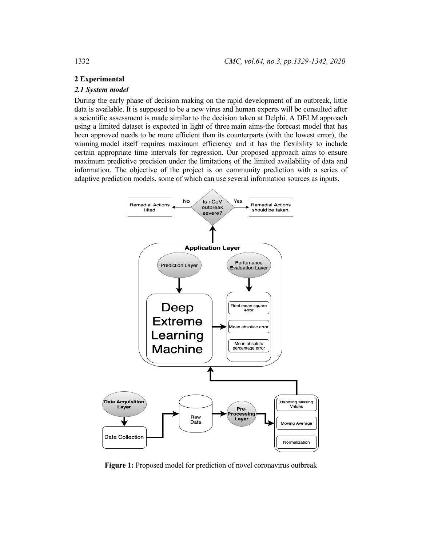## **2 Experimental**

#### *2.1 System model*

During the early phase of decision making on the rapid development of an outbreak, little data is available. It is supposed to be a new virus and human experts will be consulted after a scientific assessment is made similar to the decision taken at Delphi. A DELM approach using a limited dataset is expected in light of three main aims-the forecast model that has been approved needs to be more efficient than its counterparts (with the lowest error), the winning model itself requires maximum efficiency and it has the flexibility to include certain appropriate time intervals for regression. Our proposed approach aims to ensure maximum predictive precision under the limitations of the limited availability of data and information. The objective of the project is on community prediction with a series of adaptive prediction models, some of which can use several information sources as inputs.



**Figure 1:** Proposed model for prediction of novel coronavirus outbreak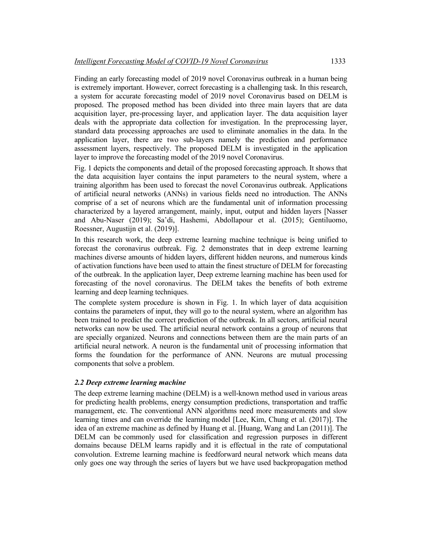Finding an early forecasting model of 2019 novel Coronavirus outbreak in a human being is extremely important. However, correct forecasting is a challenging task. In this research, a system for accurate forecasting model of 2019 novel Coronavirus based on DELM is proposed. The proposed method has been divided into three main layers that are data acquisition layer, pre-processing layer, and application layer. The data acquisition layer deals with the appropriate data collection for investigation. In the preprocessing layer, standard data processing approaches are used to eliminate anomalies in the data. In the application layer, there are two sub-layers namely the prediction and performance assessment layers, respectively. The proposed DELM is investigated in the application layer to improve the forecasting model of the 2019 novel Coronavirus.

Fig. 1 depicts the components and detail of the proposed forecasting approach. It shows that the data acquisition layer contains the input parameters to the neural system, where a training algorithm has been used to forecast the novel Coronavirus outbreak. Applications of artificial neural networks (ANNs) in various fields need no introduction. The ANNs comprise of a set of neurons which are the fundamental unit of information processing characterized by a layered arrangement, mainly, input, output and hidden layers [Nasser and Abu-Naser (2019); Sa'di, Hashemi, Abdollapour et al. (2015); Gentiluomo, Roessner, Augustijn et al. (2019)].

In this research work, the deep extreme learning machine technique is being unified to forecast the coronavirus outbreak. Fig. 2 demonstrates that in deep extreme learning machines diverse amounts of hidden layers, different hidden neurons, and numerous kinds of activation functions have been used to attain the finest structure of DELM for forecasting of the outbreak. In the application layer, Deep extreme learning machine has been used for forecasting of the novel coronavirus. The DELM takes the benefits of both extreme learning and deep learning techniques.

The complete system procedure is shown in Fig. 1. In which layer of data acquisition contains the parameters of input, they will go to the neural system, where an algorithm has been trained to predict the correct prediction of the outbreak. In all sectors, artificial neural networks can now be used. The artificial neural network contains a group of neurons that are specially organized. Neurons and connections between them are the main parts of an artificial neural network. A neuron is the fundamental unit of processing information that forms the foundation for the performance of ANN. Neurons are mutual processing components that solve a problem.

## *2.2 Deep extreme learning machine*

The deep extreme learning machine (DELM) is a well-known method used in various areas for predicting health problems, energy consumption predictions, transportation and traffic management, etc. The conventional ANN algorithms need more measurements and slow learning times and can override the learning model [Lee, Kim, Chung et al. (2017)]. The idea of an extreme machine as defined by Huang et al. [Huang, Wang and Lan (2011)]. The DELM can be commonly used for classification and regression purposes in different domains because DELM learns rapidly and it is effectual in the rate of computational convolution. Extreme learning machine is feedforward neural network which means data only goes one way through the series of layers but we have used backpropagation method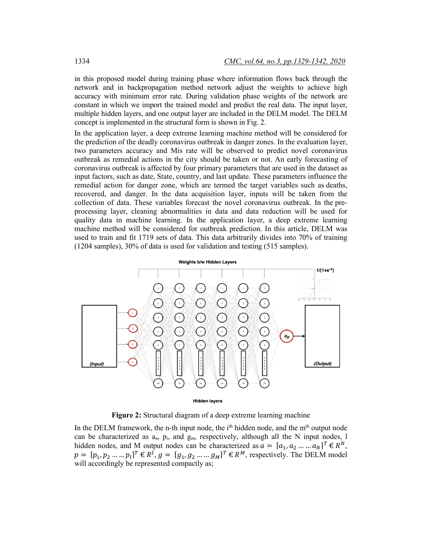in this proposed model during training phase where information flows back through the network and in backpropagation method network adjust the weights to achieve high accuracy with minimum error rate. During validation phase weights of the network are constant in which we import the trained model and predict the real data. The input layer, multiple hidden layers, and one output layer are included in the DELM model. The DELM concept is implemented in the structural form is shown in Fig. 2.

In the application layer, a deep extreme learning machine method will be considered for the prediction of the deadly coronavirus outbreak in danger zones. In the evaluation layer, two parameters accuracy and Mis rate will be observed to predict novel coronavirus outbreak as remedial actions in the city should be taken or not. An early forecasting of coronavirus outbreak is affected by four primary parameters that are used in the dataset as input factors, such as date, State, country, and last update. These parameters influence the remedial action for danger zone, which are termed the target variables such as deaths, recovered, and danger. In the data acquisition layer, inputs will be taken from the collection of data. These variables forecast the novel coronavirus outbreak. In the preprocessing layer, cleaning abnormalities in data and data reduction will be used for quality data in machine learning. In the application layer, a deep extreme learning machine method will be considered for outbreak prediction. In this article, DELM was used to train and fit 1719 sets of data. This data arbitrarily divides into 70% of training (1204 samples), 30% of data is used for validation and testing (515 samples).



**Figure 2:** Structural diagram of a deep extreme learning machine

In the DELM framework, the n-th input node, the  $i<sup>th</sup>$  hidden node, and the m<sup>th</sup> output node can be characterized as  $a_n$ ,  $p_i$ , and  $g_m$ , respectively, although all the N input nodes, 1 hidden nodes, and M output nodes can be characterized as  $a = [a_1, a_2, ..., a_N]^T \in R^N$ ,  $p = [p_1, p_2, \dots, p_l]^T \in R^l, g = [g_1, g_2, \dots, g_M]^T \in R^M$ , respectively. The DELM model will accordingly be represented compactly as;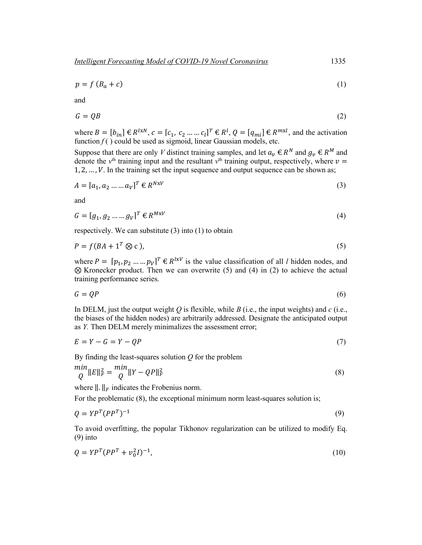$$
p = f(B_a + c) \tag{1}
$$

and

$$
G = QB \tag{2}
$$

where  $B = [b_{in}] \in R^{l x N}$ ,  $c = [c_1, c_2, ..., c_l]^T \in R^l$ ,  $Q = [q_{mi}] \in R^{m x l}$ , and the activation function  $f()$  could be used as sigmoid, linear Gaussian models, etc.

Suppose that there are only *V* distinct training samples, and let  $a_v \in R^N$  and  $g_v \in R^M$  and denote the  $v<sup>th</sup>$  training input and the resultant  $v<sup>th</sup>$  training output, respectively, where  $v =$  $1, 2, \ldots, V$ . In the training set the input sequence and output sequence can be shown as;

$$
A = [a_1, a_2 \dots \dots a_V]^T \in R^{N \times V} \tag{3}
$$

and

$$
G = [g_1, g_2 \dots g_V]^T \in R^{M \times V} \tag{4}
$$

respectively. We can substitute (3) into (1) to obtain

$$
P = f(BA + 1^T \otimes c), \tag{5}
$$

where  $P = [p_1, p_2, ..., p_V]^T \in R^{l x V}$  is the value classification of all *l* hidden nodes, and ⊗ Kronecker product. Then we can overwrite (5) and (4) in (2) to achieve the actual training performance series.

$$
G = QP \tag{6}
$$

In DELM, just the output weight  $Q$  is flexible, while  $B$  (i.e., the input weights) and  $c$  (i.e., the biases of the hidden nodes) are arbitrarily addressed. Designate the anticipated output as *Y.* Then DELM merely minimalizes the assessment error;

$$
E = Y - G = Y - QP \tag{7}
$$

By finding the least-squares solution *Q* for the problem

$$
\begin{aligned}\n\min_{Q} \|E\|_{F}^{2} &= \frac{\min}{Q} \|Y - QP\|_{F}^{2}\n\end{aligned} \tag{8}
$$

where  $\|\cdot\|_F$  indicates the Frobenius norm.

For the problematic  $(8)$ , the exceptional minimum norm least-squares solution is;

$$
Q = YP^{T}(PP^{T})^{-1}
$$
\n(9)

To avoid overfitting, the popular Tikhonov regularization can be utilized to modify Eq. (9) into

$$
Q = YP^{T}(PP^{T} + v_0^{2}I)^{-1},
$$
\n(10)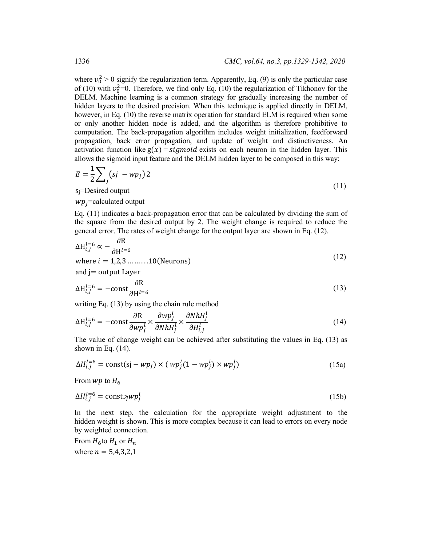where  $v_0^2 > 0$  signify the regularization term. Apparently, Eq. (9) is only the particular case of (10) with  $v_0^2$ =0. Therefore, we find only Eq. (10) the regularization of Tikhonov for the DELM. Machine learning is a common strategy for gradually increasing the number of hidden layers to the desired precision. When this technique is applied directly in DELM, however, in Eq. (10) the reverse matrix operation for standard ELM is required when some or only another hidden node is added, and the algorithm is therefore prohibitive to computation. The back-propagation algorithm includes weight initialization, feedforward propagation, back error propagation, and update of weight and distinctiveness. An activation function like  $g(x) =$  *sigmoid* exists on each neuron in the hidden layer. This allows the sigmoid input feature and the DELM hidden layer to be composed in this way;

$$
E = \frac{1}{2} \sum_{j} (sj - wp_j) 2
$$
  
 
$$
s = \text{Desired output}
$$
 (11)

sj=Desired output

 $wp_i$ =calculated output

Eq. (11) indicates a back-propagation error that can be calculated by dividing the sum of the square from the desired output by 2. The weight change is required to reduce the general error. The rates of weight change for the output layer are shown in Eq. (12).

$$
\Delta H_{i,j}^{l=6} \propto -\frac{\partial R}{\partial H^{l=6}}
$$
  
where  $i = 1,2,3 \dots \dots \dots 10$  (Neurons) (12)

and  $j$  = output Layer

$$
\Delta H_{i,j}^{l=6} = -\text{const} \frac{\partial R}{\partial H^{l=6}}
$$
 (13)

writing Eq. (13) by using the chain rule method

$$
\Delta H_{i,j}^{l=6} = -\text{const} \frac{\partial R}{\partial wp_j^l} \times \frac{\partial wp_j^l}{\partial N h H_j^l} \times \frac{\partial N h H_j^l}{\partial H_{i,j}^l}
$$
(14)

The value of change weight can be achieved after substituting the values in Eq. (13) as shown in Eq.  $(14)$ .

$$
\Delta H_{i,j}^{l=6} = \text{const}(sj - wp_j) \times (wp_j^l (1 - wp_j^l) \times wp_j^l)
$$
\n(15a)

From  $wp$  to  $H_6$ 

$$
\Delta H_{i,j}^{l=6} = \text{const.} \quad \text{with} \quad \text{const.} \tag{15b}
$$

In the next step, the calculation for the appropriate weight adjustment to the hidden weight is shown. This is more complex because it can lead to errors on every node by weighted connection.

From  $H_6$ to  $H_1$  or  $H_n$ where  $n = 5,4,3,2,1$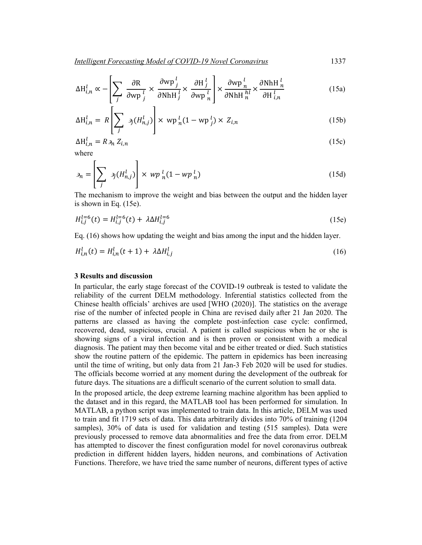$$
\Delta H_{i,n}^l \propto -\left[\sum_j \frac{\partial R}{\partial w p_j^l} \times \frac{\partial w p_j^l}{\partial N h H_j^l} \times \frac{\partial H_j^l}{\partial w p_n^l}\right] \times \frac{\partial w p_n^l}{\partial N h H_n^{hl}} \times \frac{\partial N h H_n^l}{\partial H_{i,n}^l}
$$
(15a)

$$
\Delta H_{i,n}^l = R \left[ \sum_j \sigma_j(H_{n,j}^l) \right] \times \text{wp}_n^l (1 - \text{wp}_j^l) \times Z_{i,n}
$$
 (15b)

$$
\Delta H_{i,n}^l = R \mathcal{A}_n Z_{i,n} \tag{15c}
$$

where

$$
\rho_n = \left[ \sum_j \sigma_j(H_{n,j}^l) \right] \times \, wp_n^l (1 - wp_n^l) \tag{15d}
$$

The mechanism to improve the weight and bias between the output and the hidden layer is shown in Eq. (15e).

$$
H_{i,j}^{l=6}(t) = H_{i,j}^{l=6}(t) + \lambda \Delta H_{i,j}^{l=6}
$$
 (15e)

Eq. (16) shows how updating the weight and bias among the input and the hidden layer.

$$
H_{i,n}^l(t) = H_{i,n}^l(t+1) + \lambda \Delta H_{i,j}^l
$$
\n(16)

#### **3 Results and discussion**

In particular, the early stage forecast of the COVID-19 outbreak is tested to validate the reliability of the current DELM methodology. Inferential statistics collected from the Chinese health officials' archives are used [WHO (2020)]. The statistics on the average rise of the number of infected people in China are revised daily after 21 Jan 2020. The patterns are classed as having the complete post-infection case cycle: confirmed, recovered, dead, suspicious, crucial. A patient is called suspicious when he or she is showing signs of a viral infection and is then proven or consistent with a medical diagnosis. The patient may then become vital and be either treated or died. Such statistics show the routine pattern of the epidemic. The pattern in epidemics has been increasing until the time of writing, but only data from 21 Jan-3 Feb 2020 will be used for studies. The officials become worried at any moment during the development of the outbreak for future days. The situations are a difficult scenario of the current solution to small data.

In the proposed article, the deep extreme learning machine algorithm has been applied to the dataset and in this regard, the MATLAB tool has been performed for simulation. In MATLAB, a python script was implemented to train data. In this article, DELM was used to train and fit 1719 sets of data. This data arbitrarily divides into 70% of training (1204 samples), 30% of data is used for validation and testing (515 samples). Data were previously processed to remove data abnormalities and free the data from error. DELM has attempted to discover the finest configuration model for novel coronavirus outbreak prediction in different hidden layers, hidden neurons, and combinations of Activation Functions. Therefore, we have tried the same number of neurons, different types of active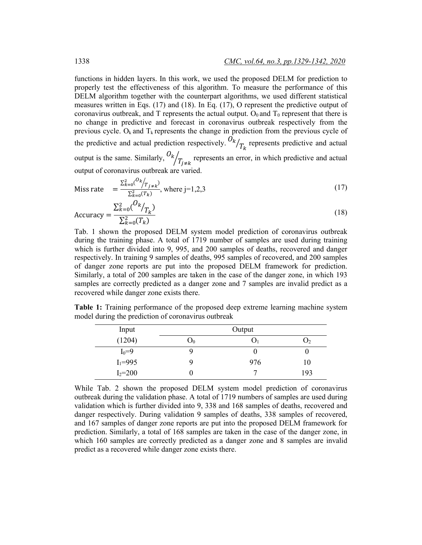functions in hidden layers. In this work, we used the proposed DELM for prediction to properly test the effectiveness of this algorithm. To measure the performance of this DELM algorithm together with the counterpart algorithms, we used different statistical measures written in Eqs. (17) and (18). In Eq. (17), O represent the predictive output of coronavirus outbreak, and T represents the actual output.  $O_0$  and  $T_0$  represent that there is no change in predictive and forecast in coronavirus outbreak respectively from the previous cycle.  $O_k$  and  $T_k$  represents the change in prediction from the previous cycle of the predictive and actual prediction respectively.  $\frac{O_k}{T_k}$  represents predictive and actual output is the same. Similarly,  $\frac{O_k}{T_{j \neq k}}$  represents an error, in which predictive and actual output of coronavirus outbreak are varied.

Miss rate 
$$
= \frac{\sum_{k=0}^{2} {O_k}/{T_{j \neq k}}}{\sum_{k=0}^{2} {T_k}}
$$
, where j=1,2,3 (17)

$$
Accuracy = \frac{\sum_{k=0}^{2} {O_k \choose r_k}}{\sum_{k=0}^{2} (T_k)}
$$
\n(18)

Tab. 1 shown the proposed DELM system model prediction of coronavirus outbreak during the training phase. A total of 1719 number of samples are used during training which is further divided into 9, 995, and 200 samples of deaths, recovered and danger respectively. In training 9 samples of deaths, 995 samples of recovered, and 200 samples of danger zone reports are put into the proposed DELM framework for prediction. Similarly, a total of 200 samples are taken in the case of the danger zone, in which 193 samples are correctly predicted as a danger zone and 7 samples are invalid predict as a recovered while danger zone exists there.

**Table 1:** Training performance of the proposed deep extreme learning machine system model during the prediction of coronavirus outbreak

| Input       | Output         |     |     |
|-------------|----------------|-----|-----|
| (1204)      | $\mathbf{U}_0$ |     |     |
| $I_0 = 9$   |                |     |     |
| $I_1 = 995$ |                | 976 | 10  |
| $I_2 = 200$ |                |     | 193 |

While Tab. 2 shown the proposed DELM system model prediction of coronavirus outbreak during the validation phase. A total of 1719 numbers of samples are used during validation which is further divided into 9, 338 and 168 samples of deaths, recovered and danger respectively. During validation 9 samples of deaths, 338 samples of recovered, and 167 samples of danger zone reports are put into the proposed DELM framework for prediction. Similarly, a total of 168 samples are taken in the case of the danger zone, in which 160 samples are correctly predicted as a danger zone and 8 samples are invalid predict as a recovered while danger zone exists there.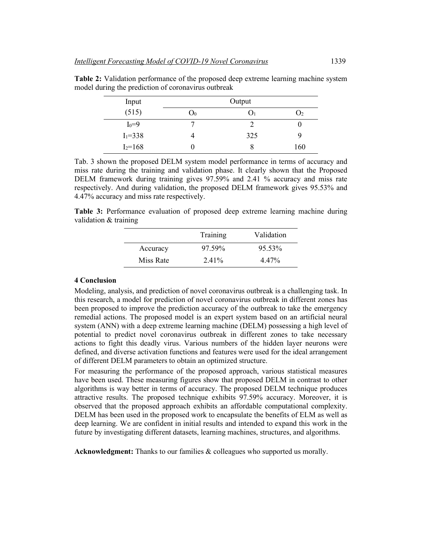| Input       | Output         |     |     |
|-------------|----------------|-----|-----|
| (515)       | $\mathsf{U}_0$ |     | در  |
| $I_0 = 9$   |                |     |     |
| $I_1 = 338$ |                | 325 | 9   |
| $I_2 = 168$ | U              |     | 160 |

**Table 2:** Validation performance of the proposed deep extreme learning machine system model during the prediction of coronavirus outbreak

Tab. 3 shown the proposed DELM system model performance in terms of accuracy and miss rate during the training and validation phase. It clearly shown that the Proposed DELM framework during training gives 97.59% and 2.41 % accuracy and miss rate respectively. And during validation, the proposed DELM framework gives 95.53% and 4.47% accuracy and miss rate respectively.

**Table 3:** Performance evaluation of proposed deep extreme learning machine during validation & training

|           | Training | Validation |
|-----------|----------|------------|
| Accuracy  | 97.59%   | 95.53%     |
| Miss Rate | 2.41%    | 4.47%      |

# **4 Conclusion**

Modeling, analysis, and prediction of novel coronavirus outbreak is a challenging task. In this research, a model for prediction of novel coronavirus outbreak in different zones has been proposed to improve the prediction accuracy of the outbreak to take the emergency remedial actions. The proposed model is an expert system based on an artificial neural system (ANN) with a deep extreme learning machine (DELM) possessing a high level of potential to predict novel coronavirus outbreak in different zones to take necessary actions to fight this deadly virus. Various numbers of the hidden layer neurons were defined, and diverse activation functions and features were used for the ideal arrangement of different DELM parameters to obtain an optimized structure.

For measuring the performance of the proposed approach, various statistical measures have been used. These measuring figures show that proposed DELM in contrast to other algorithms is way better in terms of accuracy. The proposed DELM technique produces attractive results. The proposed technique exhibits 97.59% accuracy. Moreover, it is observed that the proposed approach exhibits an affordable computational complexity. DELM has been used in the proposed work to encapsulate the benefits of ELM as well as deep learning. We are confident in initial results and intended to expand this work in the future by investigating different datasets, learning machines, structures, and algorithms.

**Acknowledgment:** Thanks to our families & colleagues who supported us morally.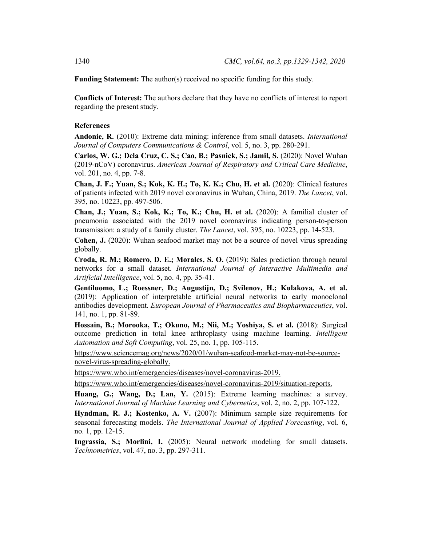**Funding Statement:** The author(s) received no specific funding for this study.

**Conflicts of Interest:** The authors declare that they have no conflicts of interest to report regarding the present study.

#### **References**

**Andonie, R.** (2010): Extreme data mining: inference from small datasets. *International Journal of Computers Communications & Control*, vol. 5, no. 3, pp. 280-291.

**Carlos, W. G.; Dela Cruz, C. S.; Cao, B.; Pasnick, S.; Jamil, S.** (2020): Novel Wuhan (2019-nCoV) coronavirus. *American Journal of Respiratory and Critical Care Medicine*, vol. 201, no. 4, pp. 7-8.

**Chan, J. F.; Yuan, S.; Kok, K. H.; To, K. K.; Chu, H. et al.** (2020): Clinical features of patients infected with 2019 novel coronavirus in Wuhan, China, 2019. *The Lancet*, vol. 395, no. 10223, pp. 497-506.

**Chan, J.; Yuan, S.; Kok, K.; To, K.; Chu, H. et al.** (2020): A familial cluster of pneumonia associated with the 2019 novel coronavirus indicating person-to-person transmission: a study of a family cluster. *The Lancet*, vol. 395, no. 10223, pp. 14-523.

**Cohen, J.** (2020): Wuhan seafood market may not be a source of novel virus spreading globally.

**Croda, R. M.; Romero, D. E.; Morales, S. O.** (2019): Sales prediction through neural networks for a small dataset. *International Journal of Interactive Multimedia and Artificial Intelligence*, vol. 5, no. 4, pp. 35-41.

**Gentiluomo, L.; Roessner, D.; Augustijn, D.; Svilenov, H.; Kulakova, A. et al.** (2019): Application of interpretable artificial neural networks to early monoclonal antibodies development. *European Journal of Pharmaceutics and Biopharmaceutics*, vol. 141, no. 1, pp. 81-89.

**Hossain, B.; Morooka, T.; Okuno, M.; Nii, M.; Yoshiya, S. et al.** (2018): Surgical outcome prediction in total knee arthroplasty using machine learning. *Intelligent Automation and Soft Computing*, vol. 25, no. 1, pp. 105-115.

https://www.sciencemag.org/news/2020/01/wuhan-seafood-market-may-not-be-sourcenovel-virus-spreading-globally.

https://www.who.int/emergencies/diseases/novel-coronavirus-2019.

https://www.who.int/emergencies/diseases/novel-coronavirus-2019/situation-reports.

**Huang, G.; Wang, D.; Lan, Y.** (2015): Extreme learning machines: a survey. *International Journal of Machine Learning and Cybernetics*, vol. 2, no. 2, pp. 107-122.

**Hyndman, R. J.; Kostenko, A. V.** (2007): Minimum sample size requirements for seasonal forecasting models. *The International Journal of Applied Forecasting*, vol. 6, no. 1, pp. 12-15.

**Ingrassia, S.; Morlini, I.** (2005): Neural network modeling for small datasets. *Technometrics*, vol. 47, no. 3, pp. 297-311.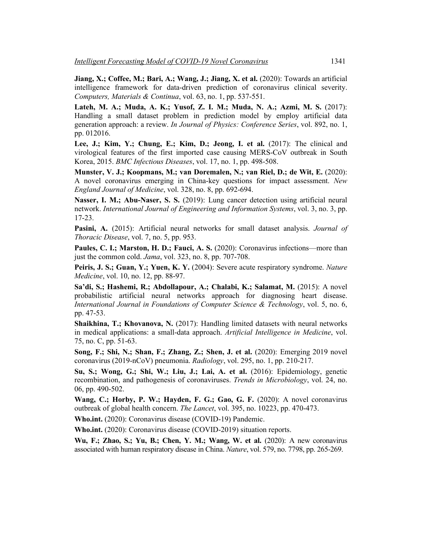**Jiang, X.; Coffee, M.; Bari, A.; Wang, J.; Jiang, X. et al.** (2020): Towards an artificial intelligence framework for data-driven prediction of coronavirus clinical severity. *Computers, Materials & Continua*, vol. 63, no. 1, pp. 537-551.

**Lateh, M. A.; Muda, A. K.; Yusof, Z. I. M.; Muda, N. A.; Azmi, M. S.** (2017): Handling a small dataset problem in prediction model by employ artificial data generation approach: a review. *In Journal of Physics: Conference Series*, vol. 892, no. 1, pp. 012016.

**Lee, J.; Kim, Y.; Chung, E.; Kim, D.; Jeong, I. et al.** (2017): The clinical and virological features of the first imported case causing MERS-CoV outbreak in South Korea, 2015. *BMC Infectious Diseases*, vol. 17, no. 1, pp. 498-508.

**Munster, V. J.; Koopmans, M.; van Doremalen, N.; van Riel, D.; de Wit, E.** (2020): A novel coronavirus emerging in China-key questions for impact assessment. *New England Journal of Medicine*, vol. 328, no. 8, pp. 692-694.

**Nasser, I. M.; Abu-Naser, S. S.** (2019): Lung cancer detection using artificial neural network. *International Journal of Engineering and Information Systems*, vol. 3, no. 3, pp. 17-23.

**Pasini, A.** (2015): Artificial neural networks for small dataset analysis. *Journal of Thoracic Disease*, vol. 7, no. 5, pp. 953.

**Paules, C. I.; Marston, H. D.; Fauci, A. S.** (2020): Coronavirus infections—more than just the common cold. *Jama*, vol. 323, no. 8, pp. 707-708.

**Peiris, J. S.; Guan, Y.; Yuen, K. Y.** (2004): Severe acute respiratory syndrome. *Nature Medicine*, vol. 10, no. 12, pp. 88-97.

**Sa'di, S.; Hashemi, R.; Abdollapour, A.; Chalabi, K.; Salamat, M.** (2015): A novel probabilistic artificial neural networks approach for diagnosing heart disease. *International Journal in Foundations of Computer Science & Technology*, vol. 5, no. 6, pp. 47-53.

**Shaikhina, T.; Khovanova, N.** (2017): Handling limited datasets with neural networks in medical applications: a small-data approach. *Artificial Intelligence in Medicine*, vol. 75, no. C, pp. 51-63.

**Song, F.; Shi, N.; Shan, F.; Zhang, Z.; Shen, J. et al.** (2020): Emerging 2019 novel coronavirus (2019-nCoV) pneumonia. *Radiology*, vol. 295, no. 1, pp. 210-217.

**Su, S.; Wong, G.; Shi, W.; Liu, J.; Lai, A. et al.** (2016): Epidemiology, genetic recombination, and pathogenesis of coronaviruses. *Trends in Microbiology*, vol. 24, no. 06, pp. 490-502.

**Wang, C.; Horby, P. W.; Hayden, F. G.; Gao, G. F.** (2020): A novel coronavirus outbreak of global health concern. *The Lancet*, vol. 395, no. 10223, pp. 470-473.

**Who.int.** (2020): Coronavirus disease (COVID-19) Pandemic.

**Who.int.** (2020): Coronavirus disease (COVID-2019) situation reports.

**Wu, F.; Zhao, S.; Yu, B.; Chen, Y. M.; Wang, W. et al.** (2020): A new coronavirus associated with human respiratory disease in China. *Nature*, vol. 579, no. 7798, pp. 265-269.